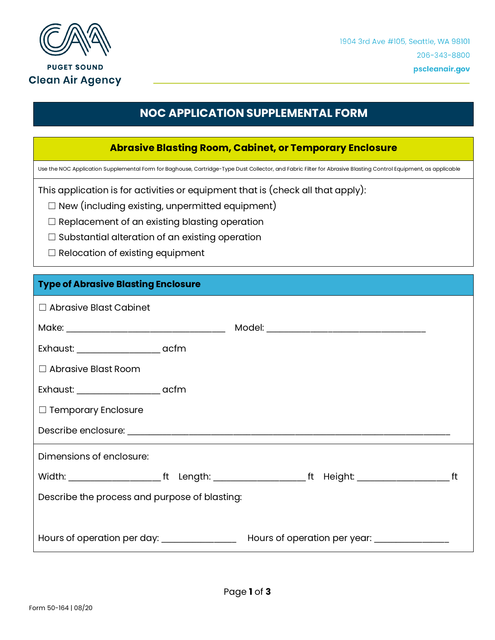

**PUGET SOUND Clean Air Agency** 

## **NOC APPLICATION SUPPLEMENTAL FORM**

## **Abrasive Blasting Room, Cabinet, or Temporary Enclosure**

Use the NOC Application Supplemental Form for Baghouse, Cartridge-Type Dust Collector, and Fabric Filter for Abrasive Blasting Control Equipment, as applicable

This application is for activities or equipment that is (check all that apply):

 $\Box$  New (including existing, unpermitted equipment)

☐ Replacement of an existing blasting operation

- □ Substantial alteration of an existing operation
- $\Box$  Relocation of existing equipment

## **Type of Abrasive Blasting Enclosure**

| $\Box$ Abrasive Blast Cabinet                 |  |  |                                               |  |
|-----------------------------------------------|--|--|-----------------------------------------------|--|
|                                               |  |  |                                               |  |
| Exhaust: _____________________ acfm           |  |  |                                               |  |
| $\Box$ Abrasive Blast Room                    |  |  |                                               |  |
| Exhaust: _________________________ acfm       |  |  |                                               |  |
| $\Box$ Temporary Enclosure                    |  |  |                                               |  |
|                                               |  |  |                                               |  |
| Dimensions of enclosure:                      |  |  |                                               |  |
|                                               |  |  |                                               |  |
| Describe the process and purpose of blasting: |  |  |                                               |  |
|                                               |  |  |                                               |  |
| Hours of operation per day: ________________  |  |  | Hours of operation per year: ________________ |  |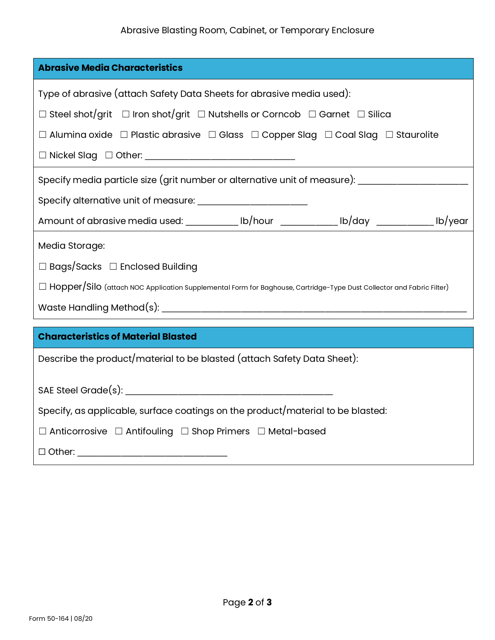| <b>Abrasive Media Characteristics</b>                                                                                  |  |  |  |  |  |
|------------------------------------------------------------------------------------------------------------------------|--|--|--|--|--|
| Type of abrasive (attach Safety Data Sheets for abrasive media used):                                                  |  |  |  |  |  |
| $\Box$ Steel shot/grit $\Box$ Iron shot/grit $\Box$ Nutshells or Corncob $\Box$ Garnet $\Box$ Silica                   |  |  |  |  |  |
| $\Box$ Alumina oxide $\Box$ Plastic abrasive $\Box$ Glass $\Box$ Copper Slag $\Box$ Coal Slag $\Box$ Staurolite        |  |  |  |  |  |
|                                                                                                                        |  |  |  |  |  |
| Specify media particle size (grit number or alternative unit of measure): _________________________                    |  |  |  |  |  |
|                                                                                                                        |  |  |  |  |  |
| Amount of abrasive media used: ____________ lb/hour _____________ lb/day ____________ lb/year                          |  |  |  |  |  |
| Media Storage:                                                                                                         |  |  |  |  |  |
| $\Box$ Bags/Sacks $\Box$ Enclosed Building                                                                             |  |  |  |  |  |
| □ Hopper/Silo (attach NOC Application Supplemental Form for Baghouse, Cartridge-Type Dust Collector and Fabric Filter) |  |  |  |  |  |
|                                                                                                                        |  |  |  |  |  |
| <b>Characteristics of Material Blasted</b>                                                                             |  |  |  |  |  |
|                                                                                                                        |  |  |  |  |  |
| Describe the product/material to be blasted (attach Safety Data Sheet):                                                |  |  |  |  |  |
|                                                                                                                        |  |  |  |  |  |
| Specify, as applicable, surface coatings on the product/material to be blasted:                                        |  |  |  |  |  |
| $\Box$ Anticorrosive $\Box$ Antifouling $\Box$ Shop Primers $\Box$ Metal-based                                         |  |  |  |  |  |
|                                                                                                                        |  |  |  |  |  |